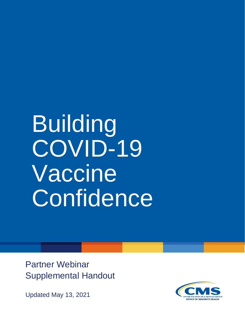# Building COVID-19 Vaccine **Confidence**

Partner Webinar Supplemental Handout

Updated May 13, 2021

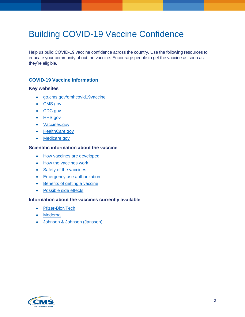# Building COVID-19 Vaccine Confidence

Help us build COVID-19 vaccine confidence across the country. Use the following resources to educate your community about the vaccine. Encourage people to get the vaccine as soon as they're eligible.

### **COVID-19 Vaccine Information**

#### **Key websites**

- [go.cms.gov/omhcovid19vaccine](https://www.cms.gov/About-CMS/Agency-Information/OMH/resource-center/COVID-19-Vaccine-Resources)
- [CMS.gov](https://www.cms.gov/COVIDvax)
- [CDC.gov](https://www.cdc.gov/coronavirus/2019-ncov/vaccines/index.html)
- [HHS.gov](https://www.hhs.gov/coronavirus/index.html)
- [Vaccines.gov](https://www.vaccines.gov/diseases/covid)
- [HealthCare.gov](https://www.healthcare.gov/coronavirus/)
- [Medicare.gov](https://www.medicare.gov/medicare-coronavirus)

#### **Scientific information about the vaccine**

- [How vaccines are developed](https://www.youtube.com/watch?v=Z06JQhyZLUI)
- [How the vaccines work](https://www.cdc.gov/coronavirus/2019-ncov/vaccines/different-vaccines/how-they-work.html)
- [Safety of the vaccines](https://www.cdc.gov/coronavirus/2019-ncov/vaccines/safety/safety-of-vaccines.html)
- [Emergency use authorization](https://www.fda.gov/vaccines-blood-biologics/vaccines/emergency-use-authorization-vaccines-explained)
- [Benefits of getting a vaccine](https://www.cdc.gov/coronavirus/2019-ncov/vaccines/vaccine-benefits.html)
- [Possible side effects](https://www.cdc.gov/coronavirus/2019-ncov/vaccines/expect/after.html)

#### **Information about the vaccines currently available**

- [Pfizer-BioNTech](https://www.cdc.gov/coronavirus/2019-ncov/vaccines/different-vaccines/Pfizer-BioNTech.html)
- [Moderna](https://www.cdc.gov/coronavirus/2019-ncov/vaccines/different-vaccines/Pfizer-BioNTech.html)
- [Johnson & Johnson \(Janssen\)](https://www.cdc.gov/coronavirus/2019-ncov/vaccines/different-vaccines/janssen.html)

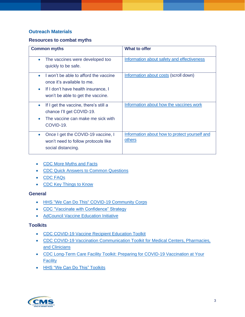## **Outreach Materials**

#### **Resources to combat myths**

| <b>Common myths</b>                                | <b>What to offer</b>                          |
|----------------------------------------------------|-----------------------------------------------|
| The vaccines were developed too<br>$\bullet$       | Information about safety and effectiveness    |
| quickly to be safe.                                |                                               |
| I won't be able to afford the vaccine              | Information about costs (scroll down)         |
| once it's available to me.                         |                                               |
| If I don't have health insurance, I<br>$\bullet$   |                                               |
| won't be able to get the vaccine.                  |                                               |
|                                                    |                                               |
| If I get the vaccine, there's still a<br>$\bullet$ | Information about how the vaccines work       |
| chance I'll get COVID-19.                          |                                               |
| The vaccine can make me sick with                  |                                               |
| COVID-19.                                          |                                               |
|                                                    |                                               |
| Once I get the COVID-19 vaccine, I<br>$\bullet$    | Information about how to protect yourself and |
| won't need to follow protocols like                | others                                        |
| social distancing.                                 |                                               |
|                                                    |                                               |

- [CDC More Myths and Facts](https://www.cdc.gov/coronavirus/2019-ncov/vaccines/facts.html)
- [CDC Quick Answers to Common Questions](https://www.cdc.gov/vaccines/covid-19/downloads/healthcare-professionals-vaccine-quick-answers-508.pdf)
- [CDC FAQs](https://www.cdc.gov/coronavirus/2019-ncov/vaccines/faq.html)
- [CDC Key Things to Know](https://www.cdc.gov/coronavirus/2019-ncov/vaccines/keythingstoknow.html)

#### **General**

- [HHS "We Can Do This" COVID-19 Community Corps](https://wecandothis.hhs.gov/covidcommunitycorps)
- [CDC "Vaccinate with Confidence" Strategy](https://www.cdc.gov/vaccines/covid-19/vaccinate-with-confidence.html)
- [AdCouncil Vaccine Education Initiative](https://getvaccineanswers.org/)

#### **Toolkits**

- [CDC COVID-19 Vaccine Recipient Education Toolkit](https://www.cdc.gov/vaccines/covid-19/hcp/index.html)
- [CDC COVID-19 Vaccination Communication Toolkit for Medical Centers, Pharmacies,](https://www.cdc.gov/vaccines/covid-19/health-systems-communication-toolkit.html)  [and Clinicians](https://www.cdc.gov/vaccines/covid-19/health-systems-communication-toolkit.html)
- [CDC Long-Term Care Facility Toolkit: Preparing for COVID-19 Vaccination at Your](https://www.cdc.gov/vaccines/covid-19/toolkits/long-term-care/index.html)  **[Facility](https://www.cdc.gov/vaccines/covid-19/toolkits/long-term-care/index.html)**
- [HHS "We Can Do This" Toolkits](https://wecandothis.hhs.gov/resources)